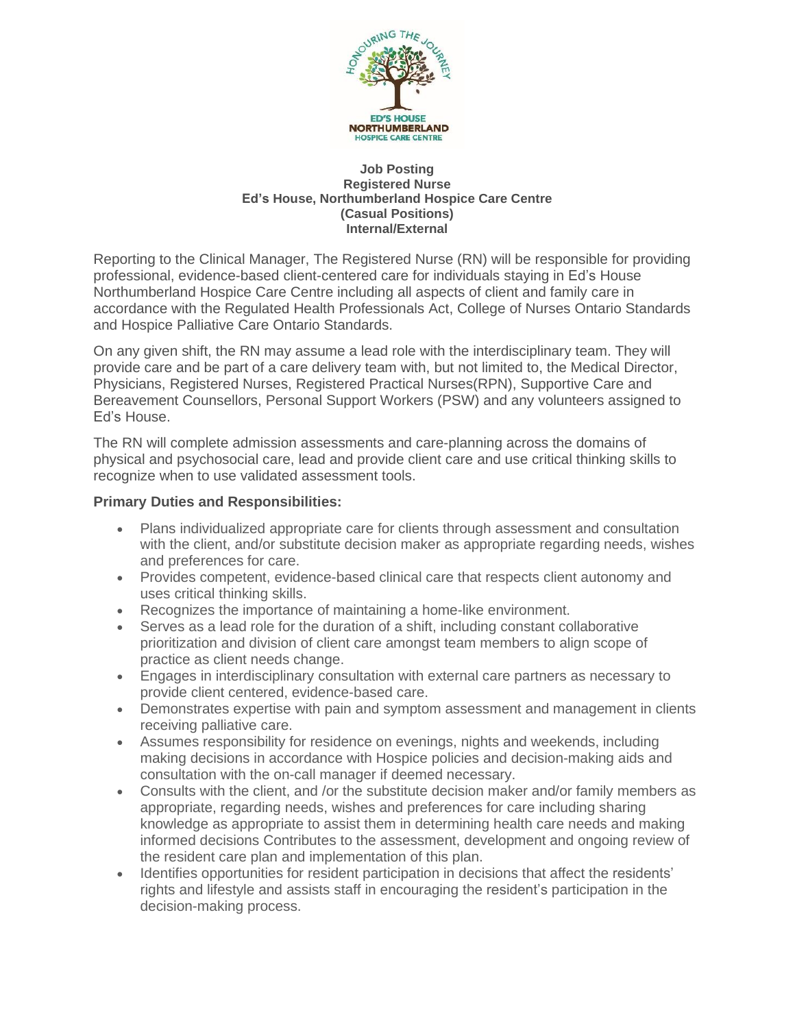

## **Job Posting Registered Nurse Ed's House, Northumberland Hospice Care Centre (Casual Positions) Internal/External**

Reporting to the Clinical Manager, The Registered Nurse (RN) will be responsible for providing professional, evidence-based client-centered care for individuals staying in Ed's House Northumberland Hospice Care Centre including all aspects of client and family care in accordance with the Regulated Health Professionals Act, College of Nurses Ontario Standards and Hospice Palliative Care Ontario Standards.

On any given shift, the RN may assume a lead role with the interdisciplinary team. They will provide care and be part of a care delivery team with, but not limited to, the Medical Director, Physicians, Registered Nurses, Registered Practical Nurses(RPN), Supportive Care and Bereavement Counsellors, Personal Support Workers (PSW) and any volunteers assigned to Ed's House.

The RN will complete admission assessments and care-planning across the domains of physical and psychosocial care, lead and provide client care and use critical thinking skills to recognize when to use validated assessment tools.

## **Primary Duties and Responsibilities:**

- Plans individualized appropriate care for clients through assessment and consultation with the client, and/or substitute decision maker as appropriate regarding needs, wishes and preferences for care.
- Provides competent, evidence-based clinical care that respects client autonomy and uses critical thinking skills.
- Recognizes the importance of maintaining a home-like environment.
- Serves as a lead role for the duration of a shift, including constant collaborative prioritization and division of client care amongst team members to align scope of practice as client needs change.
- Engages in interdisciplinary consultation with external care partners as necessary to provide client centered, evidence-based care.
- Demonstrates expertise with pain and symptom assessment and management in clients receiving palliative care.
- Assumes responsibility for residence on evenings, nights and weekends, including making decisions in accordance with Hospice policies and decision-making aids and consultation with the on-call manager if deemed necessary.
- Consults with the client, and /or the substitute decision maker and/or family members as appropriate, regarding needs, wishes and preferences for care including sharing knowledge as appropriate to assist them in determining health care needs and making informed decisions Contributes to the assessment, development and ongoing review of the resident care plan and implementation of this plan.
- Identifies opportunities for resident participation in decisions that affect the residents' rights and lifestyle and assists staff in encouraging the resident's participation in the decision-making process.